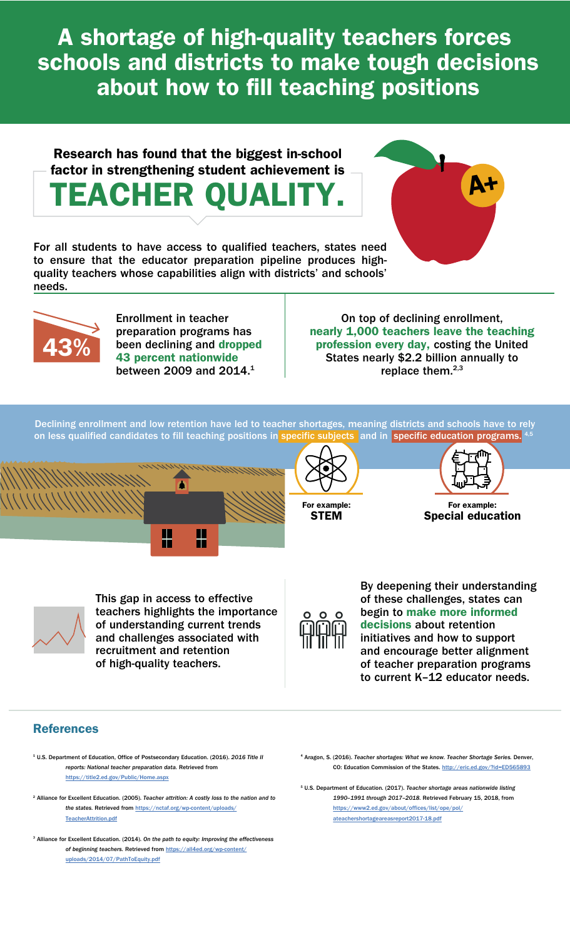A shortage of high-quality teachers forces schools and districts to make tough decisions about how to fill teaching positions

### Research has found that the biggest in-school factor in strengthening student achievement is TEACHER QUALITY.

For all students to have access to qualified teachers, states need to ensure that the educator preparation pipeline produces highquality teachers whose capabilities align with districts' and schools' needs.



Enrollment in teacher preparation programs has been declining and dropped 43 percent nationwide between 2009 and 2014.<sup>1</sup>

On top of declining enrollment, nearly 1,000 teachers leave the teaching profession every day, costing the United States nearly \$2.2 billion annually to replace them.<sup>2,3</sup>

Declining enrollment and low retention have led to teacher shortages, meaning districts and schools have to rely on less qualified candidates to fill teaching positions in specific subjects and in specific education programs.







A+

For example: Special education



This gap in access to effective teachers highlights the importance of understanding current trends and challenges associated with recruitment and retention of high-quality teachers.

By deepening their understanding of these challenges, states can begin to make more informed decisions about retention initiatives and how to support and encourage better alignment of teacher preparation programs to current K–12 educator needs.

### References

- 1 U.S. Department of Education, Office of Postsecondary Education. (2016). *2016 Title II reports: National teacher preparation data.* Retrieved from [https://title2.ed.gov/Public/Home.aspx](https://title2.ed.gov/public/home.aspx)
- 2 Alliance for Excellent Education. (2005). *Teacher attrition: A costly loss to the nation and to the states.* Retrieved from [https://nctaf.org/wp-content/uploads/](https://nctaf.org/wp-content/uploads/TeacherAttrition.pdf) [TeacherAttrition.pdf](https://nctaf.org/wp-content/uploads/TeacherAttrition.pdf)
- 3 Alliance for Excellent Education. (2014). *On the path to equity: Improving the effectiveness of beginning teachers.* Retrieved from [https://all4ed.org/wp-content/](https://all4ed.org/wp-content/uploads/2014/07/PathToEquity.pdf) [uploads/2014/07/PathToEquity.pdf](https://all4ed.org/wp-content/uploads/2014/07/PathToEquity.pdf)
- 4 Aragon, S. (2016). *Teacher shortages: What we know. Teacher Shortage Series.* Denver, CO: Education Commission of the States.<http://eric.ed.gov/?id=ED565893>

5 U.S. Department of Education. (2017). *Teacher shortage areas nationwide listing 1990–1991 through 2017–2018.* Retrieved February 15, 2018, from [https://www2.ed.gov/about/offices/list/ope/pol/](https://www2.ed.gov/about/offices/list/ope/pol/ateachershortageareasreport2017-18.pdf) [ateachershortageareasreport2017-18.pdf](https://www2.ed.gov/about/offices/list/ope/pol/ateachershortageareasreport2017-18.pdf)